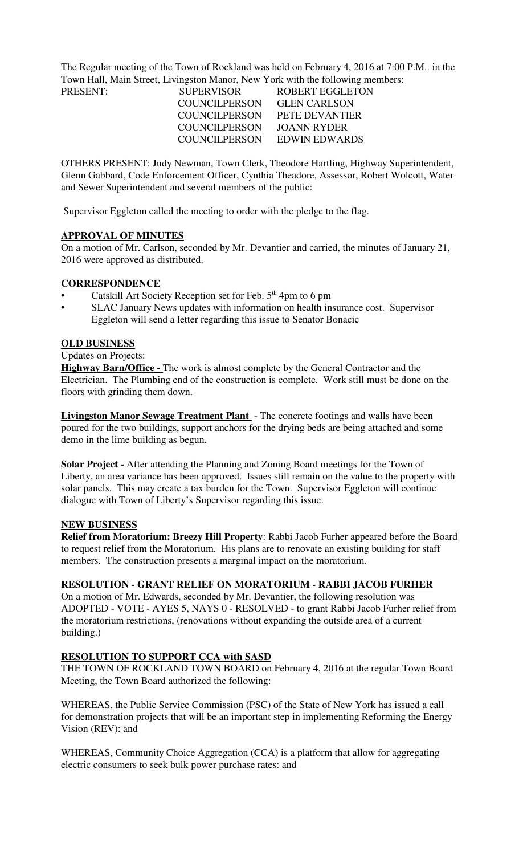The Regular meeting of the Town of Rockland was held on February 4, 2016 at 7:00 P.M.. in the Town Hall, Main Street, Livingston Manor, New York with the following members:

| PRESENT: | <b>SUPERVISOR</b>    | ROBERT EGGLETON     |
|----------|----------------------|---------------------|
|          | <b>COUNCILPERSON</b> | <b>GLEN CARLSON</b> |
|          | COUNCILPERSON        | PETE DEVANTIER      |
|          | <b>COUNCILPERSON</b> | JOANN RYDER         |
|          | <b>COUNCILPERSON</b> | EDWIN EDWARDS       |

OTHERS PRESENT: Judy Newman, Town Clerk, Theodore Hartling, Highway Superintendent, Glenn Gabbard, Code Enforcement Officer, Cynthia Theadore, Assessor, Robert Wolcott, Water and Sewer Superintendent and several members of the public:

Supervisor Eggleton called the meeting to order with the pledge to the flag.

### **APPROVAL OF MINUTES**

On a motion of Mr. Carlson, seconded by Mr. Devantier and carried, the minutes of January 21, 2016 were approved as distributed.

## **CORRESPONDENCE**

- Catskill Art Society Reception set for Feb. 5<sup>th</sup> 4pm to 6 pm
- SLAC January News updates with information on health insurance cost. Supervisor Eggleton will send a letter regarding this issue to Senator Bonacic

### **OLD BUSINESS**

### Updates on Projects:

**Highway Barn/Office -** The work is almost complete by the General Contractor and the Electrician. The Plumbing end of the construction is complete. Work still must be done on the floors with grinding them down.

**Livingston Manor Sewage Treatment Plant** - The concrete footings and walls have been poured for the two buildings, support anchors for the drying beds are being attached and some demo in the lime building as begun.

**Solar Project -** After attending the Planning and Zoning Board meetings for the Town of Liberty, an area variance has been approved. Issues still remain on the value to the property with solar panels. This may create a tax burden for the Town. Supervisor Eggleton will continue dialogue with Town of Liberty's Supervisor regarding this issue.

### **NEW BUSINESS**

**Relief from Moratorium: Breezy Hill Property**: Rabbi Jacob Furher appeared before the Board to request relief from the Moratorium. His plans are to renovate an existing building for staff members. The construction presents a marginal impact on the moratorium.

### **RESOLUTION - GRANT RELIEF ON MORATORIUM - RABBI JACOB FURHER**

On a motion of Mr. Edwards, seconded by Mr. Devantier, the following resolution was ADOPTED - VOTE - AYES 5, NAYS 0 - RESOLVED - to grant Rabbi Jacob Furher relief from the moratorium restrictions, (renovations without expanding the outside area of a current building.)

### **RESOLUTION TO SUPPORT CCA with SASD**

THE TOWN OF ROCKLAND TOWN BOARD on February 4, 2016 at the regular Town Board Meeting, the Town Board authorized the following:

WHEREAS, the Public Service Commission (PSC) of the State of New York has issued a call for demonstration projects that will be an important step in implementing Reforming the Energy Vision (REV): and

WHEREAS, Community Choice Aggregation (CCA) is a platform that allow for aggregating electric consumers to seek bulk power purchase rates: and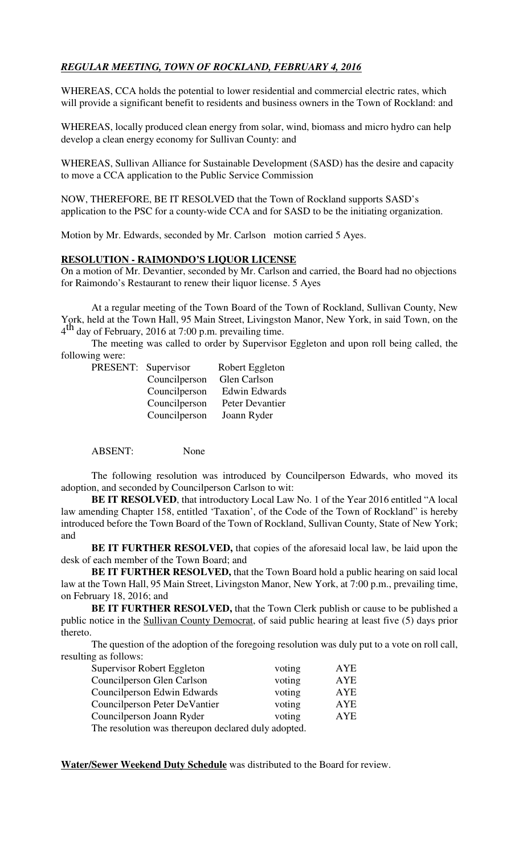## *REGULAR MEETING, TOWN OF ROCKLAND, FEBRUARY 4, 2016*

WHEREAS, CCA holds the potential to lower residential and commercial electric rates, which will provide a significant benefit to residents and business owners in the Town of Rockland: and

WHEREAS, locally produced clean energy from solar, wind, biomass and micro hydro can help develop a clean energy economy for Sullivan County: and

WHEREAS, Sullivan Alliance for Sustainable Development (SASD) has the desire and capacity to move a CCA application to the Public Service Commission

NOW, THEREFORE, BE IT RESOLVED that the Town of Rockland supports SASD's application to the PSC for a county-wide CCA and for SASD to be the initiating organization.

Motion by Mr. Edwards, seconded by Mr. Carlson motion carried 5 Ayes.

### **RESOLUTION - RAIMONDO'S LIQUOR LICENSE**

On a motion of Mr. Devantier, seconded by Mr. Carlson and carried, the Board had no objections for Raimondo's Restaurant to renew their liquor license. 5 Ayes

At a regular meeting of the Town Board of the Town of Rockland, Sullivan County, New York, held at the Town Hall, 95 Main Street, Livingston Manor, New York, in said Town, on the  $4<sup>th</sup>$  day of February, 2016 at 7:00 p.m. prevailing time.

The meeting was called to order by Supervisor Eggleton and upon roll being called, the following were:

| PRESENT: Supervisor |               | Robert Eggleton      |
|---------------------|---------------|----------------------|
|                     | Councilperson | Glen Carlson         |
|                     | Councilperson | <b>Edwin Edwards</b> |
|                     | Councilperson | Peter Devantier      |
|                     | Councilperson | Joann Ryder          |

ABSENT: None

The following resolution was introduced by Councilperson Edwards, who moved its adoption, and seconded by Councilperson Carlson to wit:

**BE IT RESOLVED**, that introductory Local Law No. 1 of the Year 2016 entitled "A local law amending Chapter 158, entitled 'Taxation', of the Code of the Town of Rockland" is hereby introduced before the Town Board of the Town of Rockland, Sullivan County, State of New York; and

**BE IT FURTHER RESOLVED,** that copies of the aforesaid local law, be laid upon the desk of each member of the Town Board; and

**BE IT FURTHER RESOLVED,** that the Town Board hold a public hearing on said local law at the Town Hall, 95 Main Street, Livingston Manor, New York, at 7:00 p.m., prevailing time, on February 18, 2016; and

**BE IT FURTHER RESOLVED,** that the Town Clerk publish or cause to be published a public notice in the Sullivan County Democrat, of said public hearing at least five (5) days prior thereto.

The question of the adoption of the foregoing resolution was duly put to a vote on roll call, resulting as follows:

| Supervisor Robert Eggleton                          | voting | AYE |  |  |
|-----------------------------------------------------|--------|-----|--|--|
| Councilperson Glen Carlson                          | voting | AYE |  |  |
| Councilperson Edwin Edwards                         | voting | AYE |  |  |
| Councilperson Peter DeVantier                       | voting | AYE |  |  |
| Councilperson Joann Ryder                           | voting | AYE |  |  |
| The resolution was thereupon declared duly adopted. |        |     |  |  |

**Water/Sewer Weekend Duty Schedule** was distributed to the Board for review.